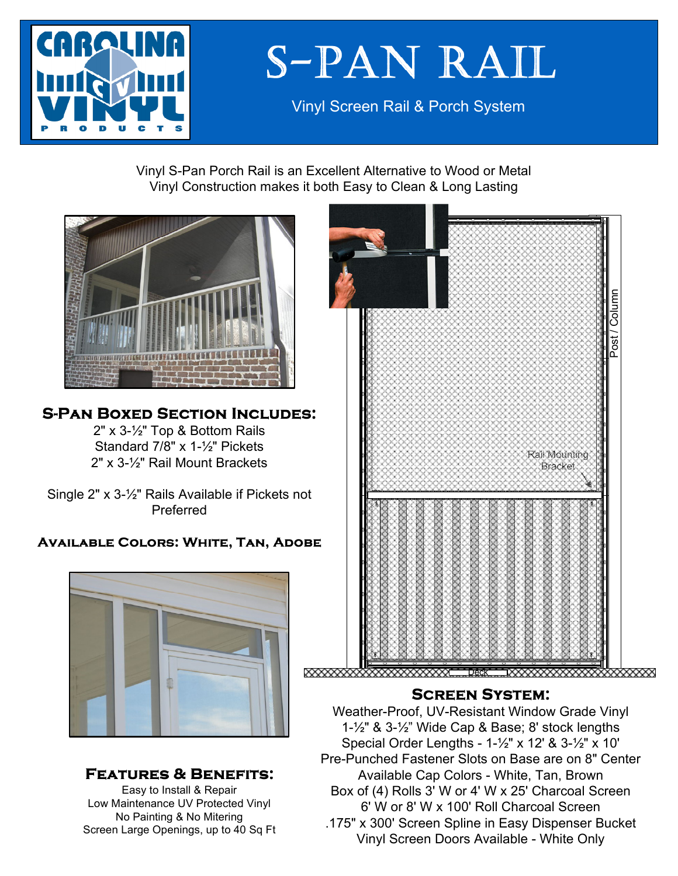

# **S-PAN RAIL**

Vinyl Screen Rail & Porch System

Vinyl S-Pan Porch Rail is an Excellent Alternative to Wood or Metal Vinyl Construction makes it both Easy to Clean & Long Lasting



### **S-PAN BOXED SECTION INCLUDES:**

2" x 3-½" Top & Bottom Rails Standard 7/8" x 1-½" Pickets 2" x 3-½" Rail Mount Brackets

Single 2" x 3-½" Rails Available if Pickets not Preferred

#### **AVAILABLE COLORS: WHITE, TAN, ADOBE**



#### **FEATURES & BENEFITS:**

Easy to Install & Repair Low Maintenance UV Protected Vinyl No Painting & No Mitering Screen Large Openings, up to 40 Sq Ft



#### **SCREEN SYSTEM:**

Weather-Proof, UV-Resistant Window Grade Vinyl 1-½" & 3-½" Wide Cap & Base; 8' stock lengths Special Order Lengths - 1-½" x 12' & 3-½" x 10' Pre-Punched Fastener Slots on Base are on 8" Center Available Cap Colors - White, Tan, Brown Box of (4) Rolls 3' W or 4' W x 25' Charcoal Screen 6' W or 8' W x 100' Roll Charcoal Screen .175" x 300' Screen Spline in Easy Dispenser Bucket Vinyl Screen Doors Available - White Only